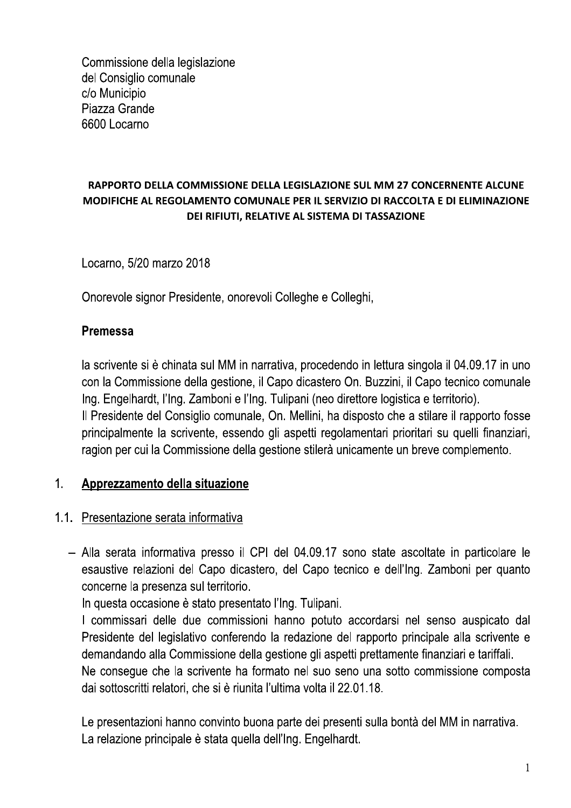Commissione della legislazione del Consiglio comunale c/o Municipio Piazza Grande 6600 Locarno

# RAPPORTO DELLA COMMISSIONE DELLA LEGISLAZIONE SUL MM 27 CONCERNENTE ALCUNE MODIFICHE AL REGOLAMENTO COMUNALE PER IL SERVIZIO DI RACCOLTA E DI ELIMINAZIONE DEI RIFIUTI. RELATIVE AL SISTEMA DI TASSAZIONE

Locarno, 5/20 marzo 2018

Onorevole signor Presidente, onorevoli Colleghe e Colleghi,

# **Premessa**

la scrivente si è chinata sul MM in narrativa, procedendo in lettura singola il 04.09.17 in uno con la Commissione della gestione, il Capo dicastero On. Buzzini, il Capo tecnico comunale Ing. Engelhardt, l'Ing. Zamboni e l'Ing. Tulipani (neo direttore logistica e territorio). Il Presidente del Consiglio comunale, On. Mellini, ha disposto che a stilare il rapporto fosse principalmente la scrivente, essendo gli aspetti regolamentari prioritari su quelli finanziari, ragion per cui la Commissione della gestione stilerà unicamente un breve complemento.

#### $1<sub>1</sub>$ Apprezzamento della situazione

# 1.1. Presentazione serata informativa

- Alla serata informativa presso il CPI del 04.09.17 sono state ascoltate in particolare le esaustive relazioni del Capo dicastero, del Capo tecnico e dell'Ing. Zamboni per quanto concerne la presenza sul territorio.

In questa occasione è stato presentato l'Ing. Tulipani.

I commissari delle due commissioni hanno potuto accordarsi nel senso auspicato dal Presidente del legislativo conferendo la redazione del rapporto principale alla scrivente e demandando alla Commissione della gestione gli aspetti prettamente finanziari e tariffali. Ne conseque che la scrivente ha formato nel suo seno una sotto commissione composta dai sottoscritti relatori, che si è riunita l'ultima volta il 22.01.18.

Le presentazioni hanno convinto buona parte dei presenti sulla bontà del MM in narrativa. La relazione principale è stata quella dell'Ing. Engelhardt.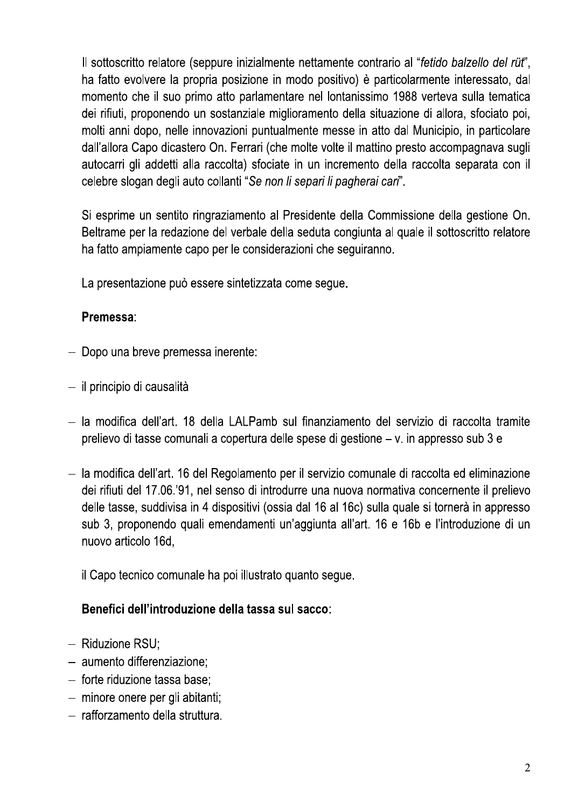Il sottoscritto relatore (seppure inizialmente nettamente contrario al "fetido balzello del rüt". ha fatto evolvere la propria posizione in modo positivo) è particolarmente interessato, dal momento che il suo primo atto parlamentare nel lontanissimo 1988 verteva sulla tematica dei rifiuti, proponendo un sostanziale miglioramento della situazione di allora, sfociato poi, molti anni dopo, nelle innovazioni puntualmente messe in atto dal Municipio, in particolare dall'allora Capo dicastero On. Ferrari (che molte volte il mattino presto accompagnava sugli autocarri gli addetti alla raccolta) sfociate in un incremento della raccolta separata con il celebre slogan degli auto collanti "Se non li separi li pagherai cari".

Si esprime un sentito ringraziamento al Presidente della Commissione della gestione On. Beltrame per la redazione del verbale della seduta congiunta al quale il sottoscritto relatore ha fatto ampiamente capo per le considerazioni che seguiranno.

La presentazione può essere sintetizzata come seque.

# Premessa:

- Dopo una breve premessa inerente:
- il principio di causalità
- la modifica dell'art. 18 della LALPamb sul finanziamento del servizio di raccolta tramite prelievo di tasse comunali a copertura delle spese di gestione – v. in appresso sub 3 e
- la modifica dell'art. 16 del Regolamento per il servizio comunale di raccolta ed eliminazione dei rifiuti del 17.06.'91, nel senso di introdurre una nuova normativa concernente il prelievo delle tasse, suddivisa in 4 dispositivi (ossia dal 16 al 16c) sulla quale si tornerà in appresso sub 3, proponendo quali emendamenti un'aggiunta all'art. 16 e 16b e l'introduzione di un nuovo articolo 16d,

il Capo tecnico comunale ha poi illustrato quanto segue.

# Benefici dell'introduzione della tassa sul sacco:

- $-$  Riduzione RSU;
- aumento differenziazione:
- forte riduzione tassa base;
- minore onere per gli abitanti;
- rafforzamento della struttura.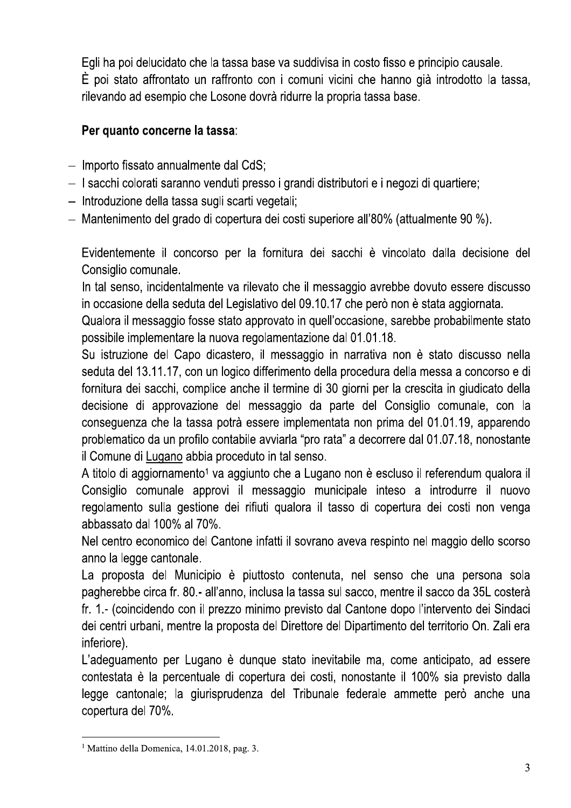Egli ha poi delucidato che la tassa base va suddivisa in costo fisso e principio causale. È poi stato affrontato un raffronto con i comuni vicini che hanno già introdotto la tassa, rilevando ad esempio che Losone dovrà ridurre la propria tassa base.

# Per quanto concerne la tassa:

- $-$  Importo fissato annualmente dal CdS;
- I sacchi colorati saranno venduti presso i grandi distributori e i negozi di quartiere;
- Introduzione della tassa sugli scarti vegetali;
- Mantenimento del grado di copertura dei costi superiore all'80% (attualmente 90 %).

Evidentemente il concorso per la fornitura dei sacchi è vincolato dalla decisione del Consiglio comunale.

In tal senso, incidentalmente va rilevato che il messaggio avrebbe dovuto essere discusso in occasione della seduta del Legislativo del 09.10.17 che però non è stata aggiornata.

Qualora il messaggio fosse stato approvato in quell'occasione, sarebbe probabilmente stato possibile implementare la nuova regolamentazione dal 01.01.18.

Su istruzione del Capo dicastero, il messaggio in narrativa non è stato discusso nella seduta del 13.11.17, con un logico differimento della procedura della messa a concorso e di fornitura dei sacchi, complice anche il termine di 30 giorni per la crescita in giudicato della decisione di approvazione del messaggio da parte del Consiglio comunale, con la conseguenza che la tassa potrà essere implementata non prima del 01.01.19, apparendo problematico da un profilo contabile avviarla "pro rata" a decorrere dal 01.07.18, nonostante il Comune di Lugano abbia proceduto in tal senso.

A titolo di aggiornamento<sup>1</sup> va aggiunto che a Lugano non è escluso il referendum qualora il Consiglio comunale approvi il messaggio municipale inteso a introdurre il nuovo regolamento sulla gestione dei rifiuti qualora il tasso di copertura dei costi non venga abbassato dal 100% al 70%.

Nel centro economico del Cantone infatti il sovrano aveva respinto nel maggio dello scorso anno la legge cantonale.

La proposta del Municipio è piuttosto contenuta, nel senso che una persona sola pagherebbe circa fr. 80.- all'anno, inclusa la tassa sul sacco, mentre il sacco da 35L costerà fr. 1.- (coincidendo con il prezzo minimo previsto dal Cantone dopo l'intervento dei Sindaci dei centri urbani, mentre la proposta del Direttore del Dipartimento del territorio On. Zali era inferiore).

L'adeguamento per Lugano è dunque stato inevitabile ma, come anticipato, ad essere contestata è la percentuale di copertura dei costi, nonostante il 100% sia previsto dalla legge cantonale; la giurisprudenza del Tribunale federale ammette però anche una copertura del 70%.

<sup>&</sup>lt;sup>1</sup> Mattino della Domenica, 14.01.2018, pag. 3.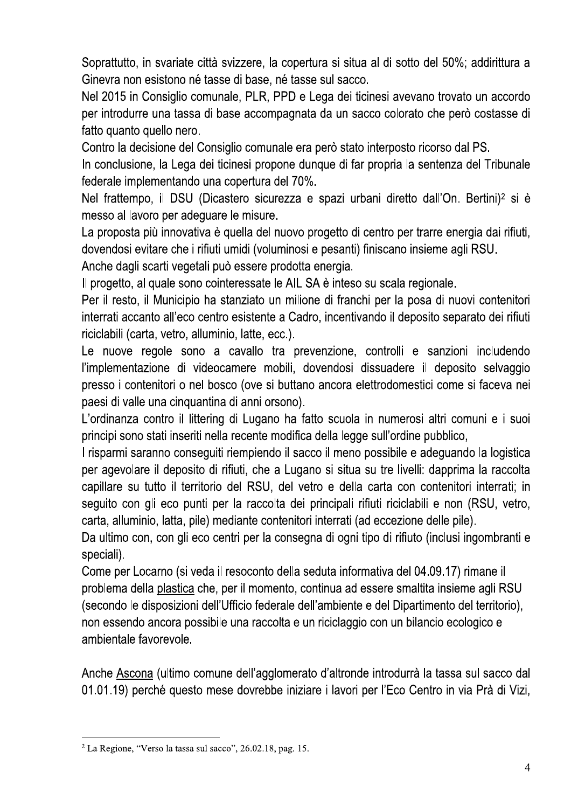Soprattutto, in svariate città svizzere, la copertura si situa al di sotto del 50%; addirittura a Ginevra non esistono né tasse di base, né tasse sul sacco.

Nel 2015 in Consiglio comunale, PLR, PPD e Lega dei ticinesi avevano trovato un accordo per introdurre una tassa di base accompagnata da un sacco colorato che però costasse di fatto quanto quello nero.

Contro la decisione del Consiglio comunale era però stato interposto ricorso dal PS.

In conclusione, la Lega dei ticinesi propone dunque di far propria la sentenza del Tribunale federale implementando una copertura del 70%.

Nel frattempo, il DSU (Dicastero sicurezza e spazi urbani diretto dall'On. Bertini)<sup>2</sup> si è messo al lavoro per adequare le misure.

La proposta più innovativa è quella del nuovo progetto di centro per trarre energia dai rifiuti, dovendosi evitare che i rifiuti umidi (voluminosi e pesanti) finiscano insieme agli RSU.

Anche dagli scarti vegetali può essere prodotta energia.

Il progetto, al quale sono cointeressate le AIL SA è inteso su scala regionale.

Per il resto, il Municipio ha stanziato un milione di franchi per la posa di nuovi contenitori interrati accanto all'eco centro esistente a Cadro, incentivando il deposito separato dei rifiuti riciclabili (carta, vetro, alluminio, latte, ecc.).

Le nuove regole sono a cavallo tra prevenzione, controlli e sanzioni includendo l'implementazione di videocamere mobili, dovendosi dissuadere il deposito selvaggio presso i contenitori o nel bosco (ove si buttano ancora elettrodomestici come si faceva nei paesi di valle una cinquantina di anni orsono).

L'ordinanza contro il littering di Lugano ha fatto scuola in numerosi altri comuni e i suoi principi sono stati inseriti nella recente modifica della legge sull'ordine pubblico,

I risparmi saranno conseguiti riempiendo il sacco il meno possibile e adeguando la logistica per agevolare il deposito di rifiuti, che a Lugano si situa su tre livelli: dapprima la raccolta capillare su tutto il territorio del RSU, del vetro e della carta con contenitori interrati; in seguito con gli eco punti per la raccolta dei principali rifiuti riciclabili e non (RSU, vetro, carta, alluminio, latta, pile) mediante contenitori interrati (ad eccezione delle pile).

Da ultimo con, con gli eco centri per la consegna di ogni tipo di rifiuto (inclusi ingombranti e speciali).

Come per Locarno (si veda il resoconto della seduta informativa del 04.09.17) rimane il problema della plastica che, per il momento, continua ad essere smaltita insieme agli RSU (secondo le disposizioni dell'Ufficio federale dell'ambiente e del Dipartimento del territorio). non essendo ancora possibile una raccolta e un riciclaggio con un bilancio ecologico e ambientale favorevole.

Anche Ascona (ultimo comune dell'agglomerato d'altronde introdurrà la tassa sul sacco dal 01.01.19) perché questo mese dovrebbe iniziare i lavori per l'Eco Centro in via Prà di Vizi,

 $2$  La Regione, "Verso la tassa sul sacco", 26.02.18, pag. 15.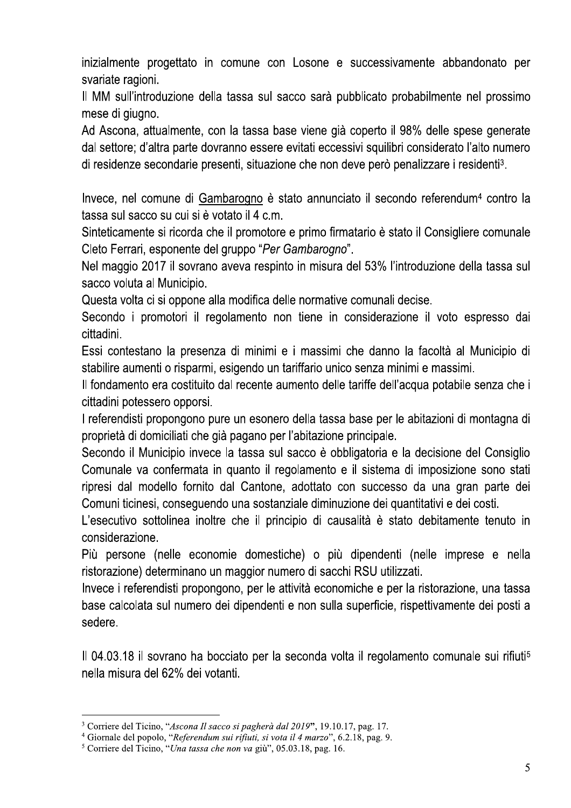inizialmente progettato in comune con Losone e successivamente abbandonato per svariate ragioni.

Il MM sull'introduzione della tassa sul sacco sarà pubblicato probabilmente nel prossimo mese di giugno.

Ad Ascona, attualmente, con la tassa base viene già coperto il 98% delle spese generate dal settore; d'altra parte dovranno essere evitati eccessivi squilibri considerato l'alto numero di residenze secondarie presenti, situazione che non deve però penalizzare i residenti<sup>3</sup>.

Invece, nel comune di Gambarogno è stato annunciato il secondo referendum<sup>4</sup> contro la tassa sul sacco su cui si è votato il 4 c.m.

Sinteticamente si ricorda che il promotore e primo firmatario è stato il Consigliere comunale Cleto Ferrari, esponente del gruppo "Per Gambarogno".

Nel maggio 2017 il sovrano aveva respinto in misura del 53% l'introduzione della tassa sul sacco voluta al Municipio.

Questa volta ci si oppone alla modifica delle normative comunali decise.

Secondo i promotori il regolamento non tiene in considerazione il voto espresso dai cittadini.

Essi contestano la presenza di minimi e i massimi che danno la facoltà al Municipio di stabilire aumenti o risparmi, esigendo un tariffario unico senza minimi e massimi.

Il fondamento era costituito dal recente aumento delle tariffe dell'acqua potabile senza che i cittadini potessero opporsi.

I referendisti propongono pure un esonero della tassa base per le abitazioni di montagna di proprietà di domiciliati che già pagano per l'abitazione principale.

Secondo il Municipio invece la tassa sul sacco è obbligatoria e la decisione del Consiglio Comunale va confermata in quanto il regolamento e il sistema di imposizione sono stati ripresi dal modello fornito dal Cantone, adottato con successo da una gran parte dei Comuni ticinesi, conseguendo una sostanziale diminuzione dei quantitativi e dei costi.

L'esecutivo sottolinea inoltre che il principio di causalità è stato debitamente tenuto in considerazione.

Più persone (nelle economie domestiche) o più dipendenti (nelle imprese e nella ristorazione) determinano un maggior numero di sacchi RSU utilizzati.

Invece i referendisti propongono, per le attività economiche e per la ristorazione, una tassa base calcolata sul numero dei dipendenti e non sulla superficie, rispettivamente dei posti a sedere.

Il 04.03.18 il sovrano ha bocciato per la seconda volta il regolamento comunale sui rifiuti<sup>5</sup> nella misura del 62% dei votanti.

<sup>&</sup>lt;sup>3</sup> Corriere del Ticino, "Ascona Il sacco si pagherà dal 2019", 19.10.17, pag. 17.

<sup>&</sup>lt;sup>4</sup> Giornale del popolo, "Referendum sui rifiuti, si vota il 4 marzo", 6.2.18, pag. 9.

<sup>&</sup>lt;sup>5</sup> Corriere del Ticino, "Una tassa che non va giù", 05.03.18, pag. 16.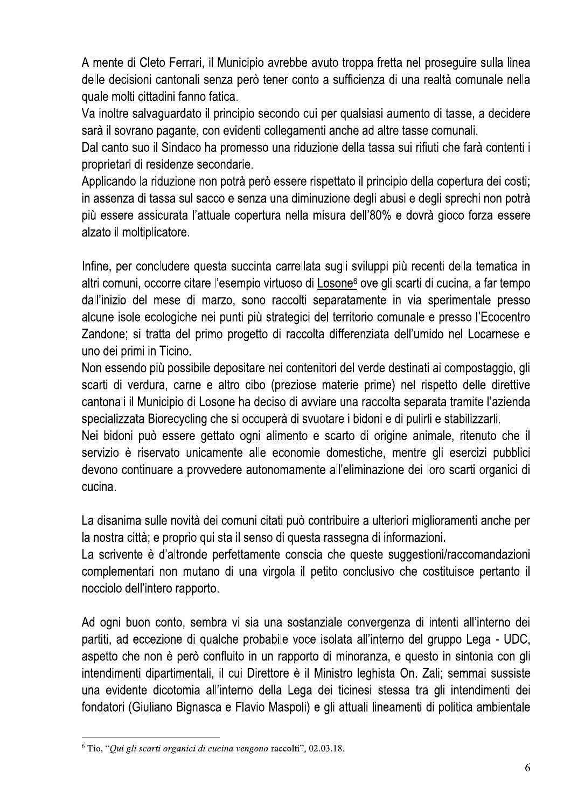A mente di Cleto Ferrari, il Municipio avrebbe avuto troppa fretta nel proseguire sulla linea delle decisioni cantonali senza però tener conto a sufficienza di una realtà comunale nella quale molti cittadini fanno fatica.

Va inoltre salvaguardato il principio secondo cui per qualsiasi aumento di tasse, a decidere sarà il sovrano pagante, con evidenti collegamenti anche ad altre tasse comunali.

Dal canto suo il Sindaco ha promesso una riduzione della tassa sui rifiuti che farà contenti i proprietari di residenze secondarie.

Applicando la riduzione non potrà però essere rispettato il principio della copertura dei costi; in assenza di tassa sul sacco e senza una diminuzione degli abusi e degli sprechi non potrà più essere assicurata l'attuale copertura nella misura dell'80% e dovrà gioco forza essere alzato il moltiplicatore.

Infine, per concludere questa succinta carrellata sugli sviluppi più recenti della tematica in altri comuni, occorre citare l'esempio virtuoso di Losone<sup>6</sup> ove gli scarti di cucina, a far tempo dall'inizio del mese di marzo, sono raccolti separatamente in via sperimentale presso alcune isole ecologiche nei punti più strategici del territorio comunale e presso l'Ecocentro Zandone; si tratta del primo progetto di raccolta differenziata dell'umido nel Locarnese e uno dei primi in Ticino.

Non essendo più possibile depositare nei contenitori del verde destinati ai compostaggio, gli scarti di verdura, carne e altro cibo (preziose materie prime) nel rispetto delle direttive cantonali il Municipio di Losone ha deciso di avviare una raccolta separata tramite l'azienda specializzata Biorecycling che si occuperà di svuotare i bidoni e di pulirli e stabilizzarli.

Nei bidoni può essere gettato ogni alimento e scarto di origine animale, ritenuto che il servizio è riservato unicamente alle economie domestiche, mentre gli esercizi pubblici devono continuare a provvedere autonomamente all'eliminazione dei loro scarti organici di cucina.

La disanima sulle novità dei comuni citati può contribuire a ulteriori miglioramenti anche per la nostra città; e proprio qui sta il senso di questa rassegna di informazioni.

La scrivente è d'altronde perfettamente conscia che queste suggestioni/raccomandazioni complementari non mutano di una virgola il petito conclusivo che costituisce pertanto il nocciolo dell'intero rapporto.

Ad ogni buon conto, sembra vi sia una sostanziale convergenza di intenti all'interno dei partiti, ad eccezione di qualche probabile voce isolata all'interno del gruppo Lega - UDC, aspetto che non è però confluito in un rapporto di minoranza, e questo in sintonia con gli intendimenti dipartimentali, il cui Direttore è il Ministro leghista On. Zali; semmai sussiste una evidente dicotomia all'interno della Lega dei ticinesi stessa tra gli intendimenti dei fondatori (Giuliano Bignasca e Flavio Maspoli) e gli attuali lineamenti di politica ambientale

<sup>&</sup>lt;sup>6</sup> Tio, "Qui gli scarti organici di cucina vengono raccolti", 02.03.18.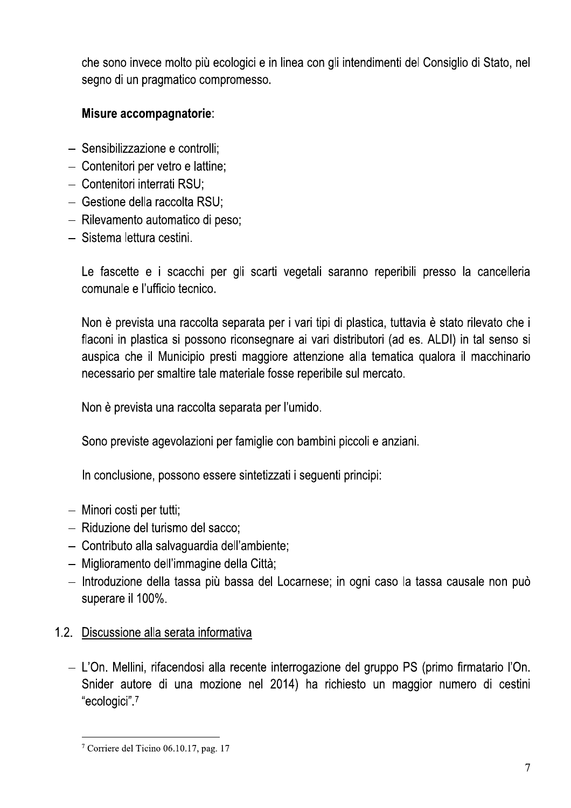che sono invece molto più ecologici e in linea con gli intendimenti del Consiglio di Stato, nel segno di un pragmatico compromesso.

# Misure accompagnatorie:

- Sensibilizzazione e controlli:
- Contenitori per vetro e lattine;
- Contenitori interrati RSU:
- Gestione della raccolta RSU;
- Rilevamento automatico di peso;
- Sistema lettura cestini.

Le fascette e i scacchi per gli scarti vegetali saranno reperibili presso la cancelleria comunale e l'ufficio tecnico.

Non è prevista una raccolta separata per i vari tipi di plastica, tuttavia è stato rilevato che i flaconi in plastica si possono riconsegnare ai vari distributori (ad es. ALDI) in tal senso si auspica che il Municipio presti maggiore attenzione alla tematica qualora il macchinario necessario per smaltire tale materiale fosse reperibile sul mercato.

Non è prevista una raccolta separata per l'umido.

Sono previste agevolazioni per famiglie con bambini piccoli e anziani.

In conclusione, possono essere sintetizzati i seguenti principi:

- Minori costi per tutti;
- Riduzione del turismo del sacco;
- Contributo alla salvaguardia dell'ambiente;
- Miglioramento dell'immagine della Città;
- Introduzione della tassa più bassa del Locarnese; in ogni caso la tassa causale non può superare il 100%.

# 1.2. Discussione alla serata informativa

- L'On. Mellini, rifacendosi alla recente interrogazione del gruppo PS (primo firmatario l'On. Snider autore di una mozione nel 2014) ha richiesto un maggior numero di cestini "ecologici".7

<sup>&</sup>lt;sup>7</sup> Corriere del Ticino 06.10.17, pag. 17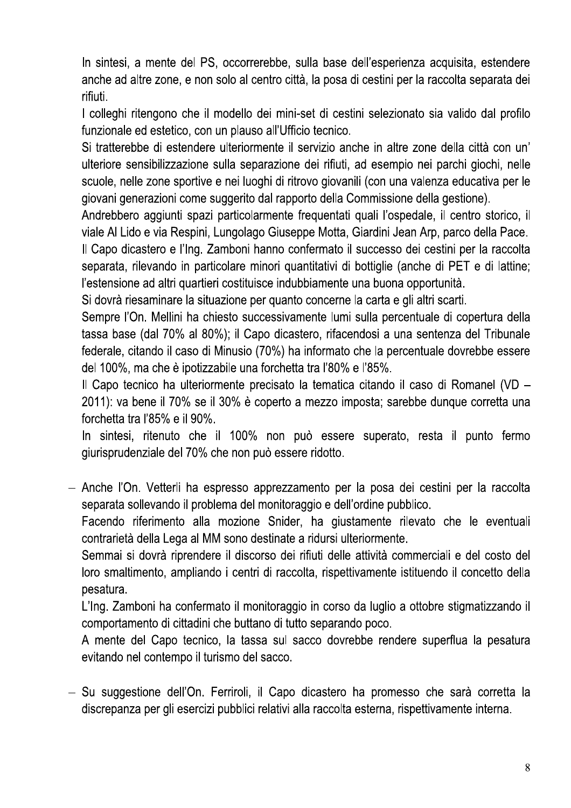In sintesi, a mente del PS, occorrerebbe, sulla base dell'esperienza acquisita, estendere anche ad altre zone, e non solo al centro città, la posa di cestini per la raccolta separata dei rifiuti.

I colleghi ritengono che il modello dei mini-set di cestini selezionato sia valido dal profilo funzionale ed estetico, con un plauso all'Ufficio tecnico.

Si tratterebbe di estendere ulteriormente il servizio anche in altre zone della città con un' ulteriore sensibilizzazione sulla separazione dei rifiuti, ad esempio nei parchi giochi, nelle scuole, nelle zone sportive e nei luoghi di ritrovo giovanili (con una valenza educativa per le giovani generazioni come suggerito dal rapporto della Commissione della gestione).

Andrebbero aggiunti spazi particolarmente freguentati guali l'ospedale, il centro storico, il viale Al Lido e via Respini, Lungolago Giuseppe Motta, Giardini Jean Arp, parco della Pace.

Il Capo dicastero e l'Ing. Zamboni hanno confermato il successo dei cestini per la raccolta separata, rilevando in particolare minori quantitativi di bottiglie (anche di PET e di lattine; l'estensione ad altri quartieri costituisce indubbiamente una buona opportunità.

Si dovrà riesaminare la situazione per quanto concerne la carta e gli altri scarti.

Sempre l'On. Mellini ha chiesto successivamente lumi sulla percentuale di copertura della tassa base (dal 70% al 80%); il Capo dicastero, rifacendosi a una sentenza del Tribunale federale, citando il caso di Minusio (70%) ha informato che la percentuale dovrebbe essere del 100%, ma che è ipotizzabile una forchetta tra l'80% e l'85%.

Il Capo tecnico ha ulteriormente precisato la tematica citando il caso di Romanel (VD – 2011): va bene il 70% se il 30% è coperto a mezzo imposta; sarebbe dunque corretta una forchetta tra l'85% e il 90%.

In sintesi, ritenuto che il 100% non può essere superato, resta il punto fermo giurisprudenziale del 70% che non può essere ridotto.

- Anche l'On. Vetterli ha espresso apprezzamento per la posa dei cestini per la raccolta separata sollevando il problema del monitoraggio e dell'ordine pubblico.

Facendo riferimento alla mozione Snider, ha giustamente rilevato che le eventuali contrarietà della Lega al MM sono destinate a ridursi ulteriormente.

Semmai si dovrà riprendere il discorso dei rifiuti delle attività commerciali e del costo del loro smaltimento, ampliando i centri di raccolta, rispettivamente istituendo il concetto della pesatura.

L'Ing. Zamboni ha confermato il monitoraggio in corso da luglio a ottobre stigmatizzando il comportamento di cittadini che buttano di tutto separando poco.

A mente del Capo tecnico, la tassa sul sacco dovrebbe rendere superflua la pesatura evitando nel contempo il turismo del sacco.

- Su suggestione dell'On. Ferriroli, il Capo dicastero ha promesso che sarà corretta la discrepanza per gli esercizi pubblici relativi alla raccolta esterna, rispettivamente interna.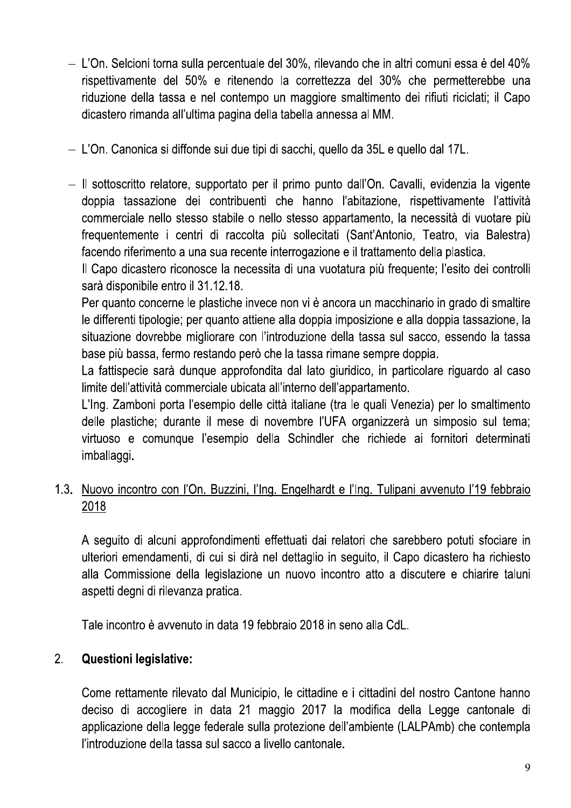- L'On. Selcioni torna sulla percentuale del 30%, rilevando che in altri comuni essa è del 40% rispettivamente del 50% e ritenendo la correttezza del 30% che permetterebbe una riduzione della tassa e nel contempo un maggiore smaltimento dei rifiuti riciclati; il Capo dicastero rimanda all'ultima pagina della tabella annessa al MM.
- L'On. Canonica si diffonde sui due tipi di sacchi, quello da 35L e quello dal 17L.
- Il sottoscritto relatore, supportato per il primo punto dall'On. Cavalli, evidenzia la vigente doppia tassazione dei contribuenti che hanno l'abitazione, rispettivamente l'attività commerciale nello stesso stabile o nello stesso appartamento, la necessità di vuotare più frequentemente i centri di raccolta più sollecitati (Sant'Antonio, Teatro, via Balestra) facendo riferimento a una sua recente interrogazione e il trattamento della plastica.

Il Capo dicastero riconosce la necessita di una vuotatura più frequente; l'esito dei controlli sarà disponibile entro il 31.12.18.

Per quanto concerne le plastiche invece non vi è ancora un macchinario in grado di smaltire le differenti tipologie; per quanto attiene alla doppia imposizione e alla doppia tassazione, la situazione dovrebbe migliorare con l'introduzione della tassa sul sacco, essendo la tassa base più bassa, fermo restando però che la tassa rimane sempre doppia.

La fattispecie sarà dunque approfondita dal lato giuridico, in particolare riguardo al caso limite dell'attività commerciale ubicata all'interno dell'appartamento.

L'Ing. Zamboni porta l'esempio delle città italiane (tra le quali Venezia) per lo smaltimento delle plastiche; durante il mese di novembre l'UFA organizzerà un simposio sul tema; virtuoso e comunque l'esempio della Schindler che richiede ai fornitori determinati imballaggi.

# 1.3. Nuovo incontro con l'On. Buzzini, l'Ing. Engelhardt e l'Ing. Tulipani avvenuto l'19 febbraio 2018

A sequito di alcuni approfondimenti effettuati dai relatori che sarebbero potuti sfociare in ulteriori emendamenti, di cui si dirà nel dettaglio in seguito, il Capo dicastero ha richiesto alla Commissione della legislazione un nuovo incontro atto a discutere e chiarire taluni aspetti degni di rilevanza pratica.

Tale incontro è avvenuto in data 19 febbraio 2018 in seno alla CdL.

#### **Questioni legislative:**  $2<sub>1</sub>$

Come rettamente rilevato dal Municipio, le cittadine e i cittadini del nostro Cantone hanno deciso di accogliere in data 21 maggio 2017 la modifica della Legge cantonale di applicazione della legge federale sulla protezione dell'ambiente (LALPAmb) che contempla l'introduzione della tassa sul sacco a livello cantonale.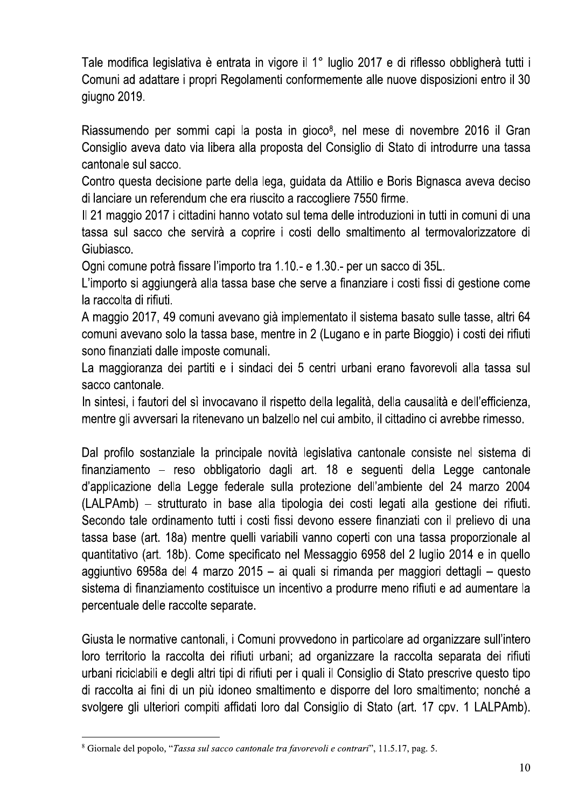Tale modifica legislativa è entrata in vigore il 1° luglio 2017 e di riflesso obbligherà tutti i Comuni ad adattare i propri Regolamenti conformemente alle nuove disposizioni entro il 30 giugno 2019.

Riassumendo per sommi capi la posta in gioco<sup>8</sup>, nel mese di novembre 2016 il Gran Consiglio aveva dato via libera alla proposta del Consiglio di Stato di introdurre una tassa cantonale sul sacco.

Contro questa decisione parte della lega, guidata da Attilio e Boris Bignasca aveva deciso di lanciare un referendum che era riuscito a raccogliere 7550 firme.

Il 21 maggio 2017 i cittadini hanno votato sul tema delle introduzioni in tutti in comuni di una tassa sul sacco che servirà a coprire i costi dello smaltimento al termovalorizzatore di Giubiasco.

Ogni comune potrà fissare l'importo tra 1.10.- e 1.30.- per un sacco di 35L.

L'importo si aggiungerà alla tassa base che serve a finanziare i costi fissi di gestione come la raccolta di rifiuti.

A maggio 2017, 49 comuni avevano già implementato il sistema basato sulle tasse, altri 64 comuni avevano solo la tassa base, mentre in 2 (Lugano e in parte Bioggio) i costi dei rifiuti sono finanziati dalle imposte comunali.

La maggioranza dei partiti e i sindaci dei 5 centri urbani erano favorevoli alla tassa sul sacco cantonale.

In sintesi, i fautori del sì invocavano il rispetto della legalità, della causalità e dell'efficienza, mentre gli avversari la ritenevano un balzello nel cui ambito, il cittadino ci avrebbe rimesso.

Dal profilo sostanziale la principale novità legislativa cantonale consiste nel sistema di finanziamento – reso obbligatorio dagli art. 18 e seguenti della Legge cantonale d'applicazione della Legge federale sulla protezione dell'ambiente del 24 marzo 2004 (LALPAmb) – strutturato in base alla tipologia dei costi legati alla gestione dei rifiuti. Secondo tale ordinamento tutti i costi fissi devono essere finanziati con il prelievo di una tassa base (art. 18a) mentre quelli variabili vanno coperti con una tassa proporzionale al quantitativo (art. 18b). Come specificato nel Messaggio 6958 del 2 luglio 2014 e in quello aggiuntivo 6958a del 4 marzo 2015 – ai quali si rimanda per maggiori dettagli – questo sistema di finanziamento costituisce un incentivo a produrre meno rifiuti e ad aumentare la percentuale delle raccolte separate.

Giusta le normative cantonali, i Comuni provvedono in particolare ad organizzare sull'intero loro territorio la raccolta dei rifiuti urbani; ad organizzare la raccolta separata dei rifiuti urbani riciclabili e degli altri tipi di rifiuti per i quali il Consiglio di Stato prescrive questo tipo di raccolta ai fini di un più idoneo smaltimento e disporre del loro smaltimento; nonché a svolgere gli ulteriori compiti affidati loro dal Consiglio di Stato (art. 17 cpv. 1 LALPAmb).

<sup>&</sup>lt;sup>8</sup> Giornale del popolo, "Tassa sul sacco cantonale tra favorevoli e contrari", 11.5.17, pag. 5.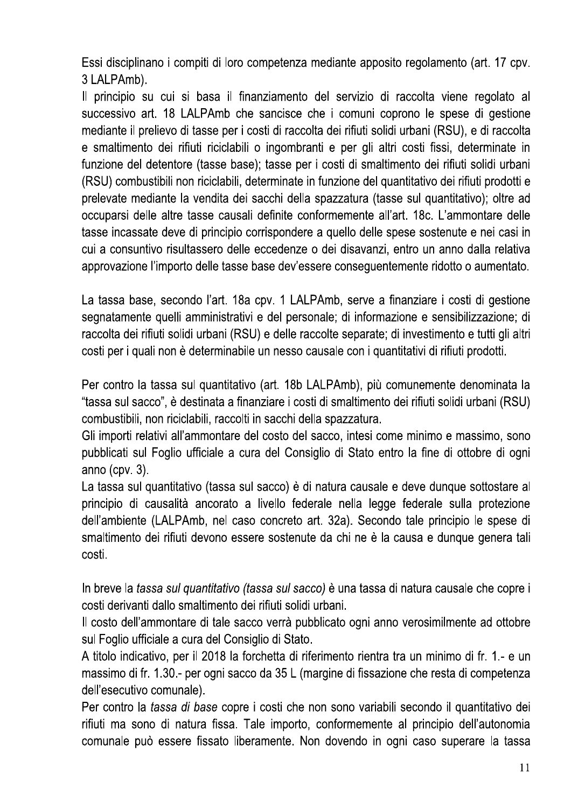Essi disciplinano i compiti di loro competenza mediante apposito regolamento (art. 17 cpv. 3 LALPAmb).

Il principio su cui si basa il finanziamento del servizio di raccolta viene regolato al successivo art. 18 LALPAmb che sancisce che i comuni coprono le spese di gestione mediante il prelievo di tasse per i costi di raccolta dei rifiuti solidi urbani (RSU), e di raccolta e smaltimento dei rifiuti riciclabili o ingombranti e per gli altri costi fissi, determinate in funzione del detentore (tasse base); tasse per i costi di smaltimento dei rifiuti solidi urbani (RSU) combustibili non riciclabili, determinate in funzione del quantitativo dei rifiuti prodotti e prelevate mediante la vendita dei sacchi della spazzatura (tasse sul quantitativo); oltre ad occuparsi delle altre tasse causali definite conformemente all'art. 18c. L'ammontare delle tasse incassate deve di principio corrispondere a quello delle spese sostenute e nei casi in cui a consuntivo risultassero delle eccedenze o dei disavanzi, entro un anno dalla relativa approvazione l'importo delle tasse base dev'essere conseguentemente ridotto o aumentato.

La tassa base, secondo l'art. 18a cpv. 1 LALPAmb, serve a finanziare i costi di gestione segnatamente quelli amministrativi e del personale; di informazione e sensibilizzazione; di raccolta dei rifiuti solidi urbani (RSU) e delle raccolte separate; di investimento e tutti gli altri costi per i quali non è determinabile un nesso causale con i quantitativi di rifiuti prodotti.

Per contro la tassa sul quantitativo (art. 18b LALPAmb), più comunemente denominata la "tassa sul sacco", è destinata a finanziare i costi di smaltimento dei rifiuti solidi urbani (RSU) combustibili, non riciclabili, raccolti in sacchi della spazzatura.

Gli importi relativi all'ammontare del costo del sacco, intesi come minimo e massimo, sono pubblicati sul Foglio ufficiale a cura del Consiglio di Stato entro la fine di ottobre di ogni anno  $(cpv. 3)$ .

La tassa sul quantitativo (tassa sul sacco) è di natura causale e deve dunque sottostare al principio di causalità ancorato a livello federale nella legge federale sulla protezione dell'ambiente (LALPAmb, nel caso concreto art. 32a). Secondo tale principio le spese di smaltimento dei rifiuti devono essere sostenute da chi ne è la causa e dunque genera tali costi.

In breve la *tassa sul quantitativo (tassa sul sacco)* è una tassa di natura causale che copre i costi derivanti dallo smaltimento dei rifiuti solidi urbani.

Il costo dell'ammontare di tale sacco verrà pubblicato ogni anno verosimilmente ad ottobre sul Foglio ufficiale a cura del Consiglio di Stato.

A titolo indicativo, per il 2018 la forchetta di riferimento rientra tra un minimo di fr. 1.- e un massimo di fr. 1.30.- per ogni sacco da 35 L (margine di fissazione che resta di competenza dell'esecutivo comunale).

Per contro la tassa di base copre i costi che non sono variabili secondo il quantitativo dei rifiuti ma sono di natura fissa. Tale importo, conformemente al principio dell'autonomia comunale può essere fissato liberamente. Non dovendo in ogni caso superare la tassa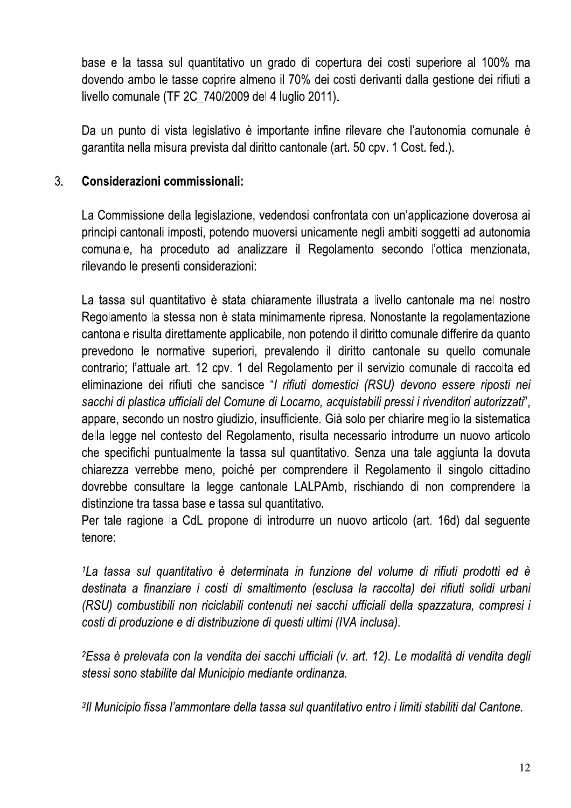base e la tassa sul quantitativo un grado di copertura dei costi superiore al 100% ma dovendo ambo le tasse coprire almeno il 70% dei costi derivanti dalla gestione dei rifiuti a livello comunale (TF 2C\_740/2009 del 4 luglio 2011).

Da un punto di vista legislativo è importante infine rilevare che l'autonomia comunale è garantita nella misura prevista dal diritto cantonale (art. 50 cpv. 1 Cost. fed.).

#### $3<sub>1</sub>$ Considerazioni commissionali:

La Commissione della legislazione, vedendosi confrontata con un'applicazione doverosa ai principi cantonali imposti, potendo muoversi unicamente negli ambiti soggetti ad autonomia comunale, ha proceduto ad analizzare il Regolamento secondo l'ottica menzionata, rilevando le presenti considerazioni:

La tassa sul quantitativo è stata chiaramente illustrata a livello cantonale ma nel nostro Regolamento la stessa non è stata minimamente ripresa. Nonostante la regolamentazione cantonale risulta direttamente applicabile, non potendo il diritto comunale differire da quanto prevedono le normative superiori, prevalendo il diritto cantonale su quello comunale contrario; l'attuale art. 12 cpv. 1 del Regolamento per il servizio comunale di raccolta ed eliminazione dei rifiuti che sancisce "I rifiuti domestici (RSU) devono essere riposti nei sacchi di plastica ufficiali del Comune di Locarno, acquistabili pressi i rivenditori autorizzati", appare, secondo un nostro giudizio, insufficiente. Già solo per chiarire meglio la sistematica della legge nel contesto del Regolamento, risulta necessario introdurre un nuovo articolo che specifichi puntualmente la tassa sul quantitativo. Senza una tale aggiunta la dovuta chiarezza verrebbe meno, poiché per comprendere il Regolamento il singolo cittadino dovrebbe consultare la legge cantonale LALPAmb, rischiando di non comprendere la distinzione tra tassa base e tassa sul quantitativo.

Per tale ragione la CdL propone di introdurre un nuovo articolo (art. 16d) dal seguente tenore:

<sup>1</sup> La tassa sul quantitativo è determinata in funzione del volume di rifiuti prodotti ed è destinata a finanziare i costi di smaltimento (esclusa la raccolta) dei rifiuti solidi urbani (RSU) combustibili non riciclabili contenuti nei sacchi ufficiali della spazzatura, compresi i costi di produzione e di distribuzione di questi ultimi (IVA inclusa).

<sup>2</sup>Essa è prelevata con la vendita dei sacchi ufficiali (v. art. 12). Le modalità di vendita degli stessi sono stabilite dal Municipio mediante ordinanza.

3Il Municipio fissa l'ammontare della tassa sul quantitativo entro i limiti stabiliti dal Cantone.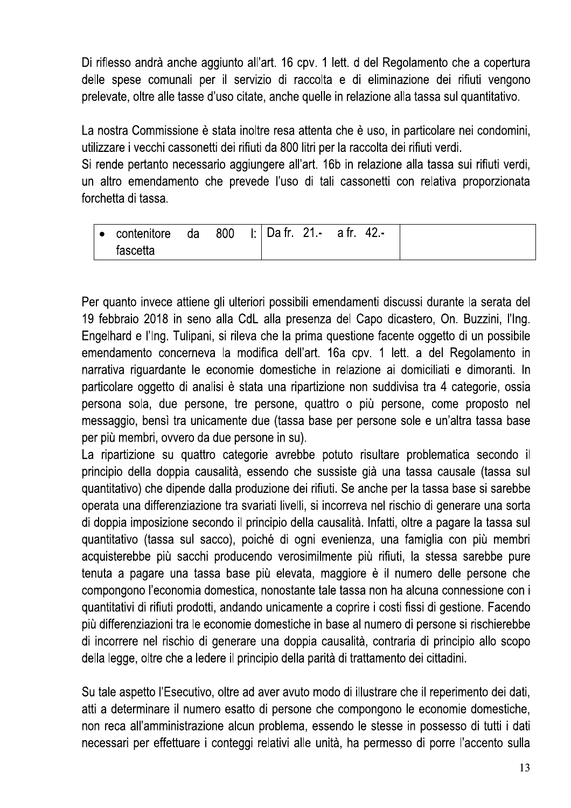Di riflesso andrà anche aggiunto all'art. 16 cpv. 1 lett. d del Regolamento che a copertura delle spese comunali per il servizio di raccolta e di eliminazione dei rifiuti vengono prelevate, oltre alle tasse d'uso citate, anche quelle in relazione alla tassa sul quantitativo.

La nostra Commissione è stata inoltre resa attenta che è uso, in particolare nei condomini, utilizzare i vecchi cassonetti dei rifiuti da 800 litri per la raccolta dei rifiuti verdi.

Si rende pertanto necessario aggiungere all'art. 16b in relazione alla tassa sui rifiuti verdi, un altro emendamento che prevede l'uso di tali cassonetti con relativa proporzionata forchetta di tassa.

| $\overline{\phantom{a}}$ contenitore | ∠ da | 800 | $\vert$ : Dafr. 21.- afr. 42.- |  |  |
|--------------------------------------|------|-----|--------------------------------|--|--|
| fascetta                             |      |     |                                |  |  |

Per quanto invece attiene gli ulteriori possibili emendamenti discussi durante la serata del 19 febbraio 2018 in seno alla CdL alla presenza del Capo dicastero, On. Buzzini, l'Ing. Engelhard e l'Ing. Tulipani, si rileva che la prima questione facente oggetto di un possibile emendamento concerneva la modifica dell'art. 16a cpv. 1 lett. a del Regolamento in narrativa riguardante le economie domestiche in relazione ai domiciliati e dimoranti. In particolare oggetto di analisi è stata una ripartizione non suddivisa tra 4 categorie, ossia persona sola, due persone, tre persone, quattro o più persone, come proposto nel messaggio, bensì tra unicamente due (tassa base per persone sole e un'altra tassa base per più membri, ovvero da due persone in su).

La ripartizione su quattro categorie avrebbe potuto risultare problematica secondo il principio della doppia causalità, essendo che sussiste già una tassa causale (tassa sul guantitativo) che dipende dalla produzione dei rifiuti. Se anche per la tassa base si sarebbe operata una differenziazione tra svariati livelli, si incorreva nel rischio di generare una sorta di doppia imposizione secondo il principio della causalità. Infatti, oltre a pagare la tassa sul quantitativo (tassa sul sacco), poiché di ogni evenienza, una famiglia con più membri acquisterebbe più sacchi producendo verosimilmente più rifiuti, la stessa sarebbe pure tenuta a pagare una tassa base più elevata, maggiore è il numero delle persone che compongono l'economia domestica, nonostante tale tassa non ha alcuna connessione con i quantitativi di rifiuti prodotti, andando unicamente a coprire i costi fissi di gestione. Facendo più differenziazioni tra le economie domestiche in base al numero di persone si rischierebbe di incorrere nel rischio di generare una doppia causalità, contraria di principio allo scopo della legge, oltre che a ledere il principio della parità di trattamento dei cittadini.

Su tale aspetto l'Esecutivo, oltre ad aver avuto modo di illustrare che il reperimento dei dati, atti a determinare il numero esatto di persone che compongono le economie domestiche, non reca all'amministrazione alcun problema, essendo le stesse in possesso di tutti i dati necessari per effettuare i conteggi relativi alle unità, ha permesso di porre l'accento sulla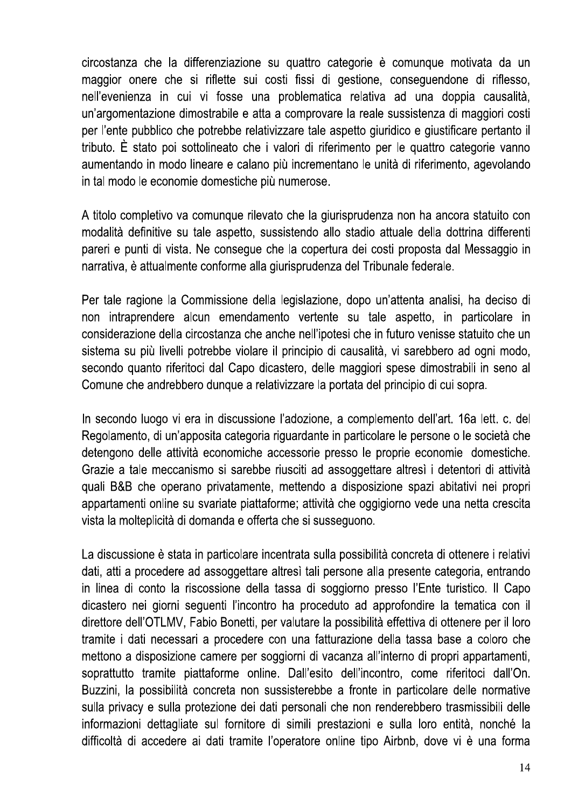circostanza che la differenziazione su quattro categorie è comunque motivata da un maggior onere che si riflette sui costi fissi di gestione, conseguendone di riflesso, nell'evenienza in cui vi fosse una problematica relativa ad una doppia causalità, un'argomentazione dimostrabile e atta a comprovare la reale sussistenza di maggiori costi per l'ente pubblico che potrebbe relativizzare tale aspetto giuridico e giustificare pertanto il tributo. È stato poi sottolineato che i valori di riferimento per le quattro categorie vanno aumentando in modo lineare e calano più incrementano le unità di riferimento, agevolando in tal modo le economie domestiche più numerose.

A titolo completivo va comunque rilevato che la giurisprudenza non ha ancora statuito con modalità definitive su tale aspetto, sussistendo allo stadio attuale della dottrina differenti pareri e punti di vista. Ne consegue che la copertura dei costi proposta dal Messaggio in narrativa, è attualmente conforme alla giurisprudenza del Tribunale federale.

Per tale ragione la Commissione della legislazione, dopo un'attenta analisi, ha deciso di non intraprendere alcun emendamento vertente su tale aspetto, in particolare in considerazione della circostanza che anche nell'ipotesi che in futuro venisse statuito che un sistema su più livelli potrebbe violare il principio di causalità, vi sarebbero ad ogni modo, secondo quanto riferitoci dal Capo dicastero, delle maggiori spese dimostrabili in seno al Comune che andrebbero dunque a relativizzare la portata del principio di cui sopra.

In secondo luogo vi era in discussione l'adozione, a complemento dell'art. 16a lett. c. del Regolamento, di un'apposita categoria riguardante in particolare le persone o le società che detengono delle attività economiche accessorie presso le proprie economie domestiche. Grazie a tale meccanismo si sarebbe riusciti ad assoggettare altresì i detentori di attività quali B&B che operano privatamente, mettendo a disposizione spazi abitativi nei propri appartamenti online su svariate piattaforme; attività che oggigiorno vede una netta crescita vista la molteplicità di domanda e offerta che si susseguono.

La discussione è stata in particolare incentrata sulla possibilità concreta di ottenere i relativi dati, atti a procedere ad assoggettare altresì tali persone alla presente categoria, entrando in linea di conto la riscossione della tassa di soggiorno presso l'Ente turistico. Il Capo dicastero nei giorni seguenti l'incontro ha proceduto ad approfondire la tematica con il direttore dell'OTLMV, Fabio Bonetti, per valutare la possibilità effettiva di ottenere per il loro tramite i dati necessari a procedere con una fatturazione della tassa base a coloro che mettono a disposizione camere per soggiorni di vacanza all'interno di propri appartamenti. soprattutto tramite piattaforme online. Dall'esito dell'incontro, come riferitoci dall'On. Buzzini, la possibilità concreta non sussisterebbe a fronte in particolare delle normative sulla privacy e sulla protezione dei dati personali che non renderebbero trasmissibili delle informazioni dettagliate sul fornitore di simili prestazioni e sulla loro entità, nonché la difficoltà di accedere ai dati tramite l'operatore online tipo Airbnb, dove vi è una forma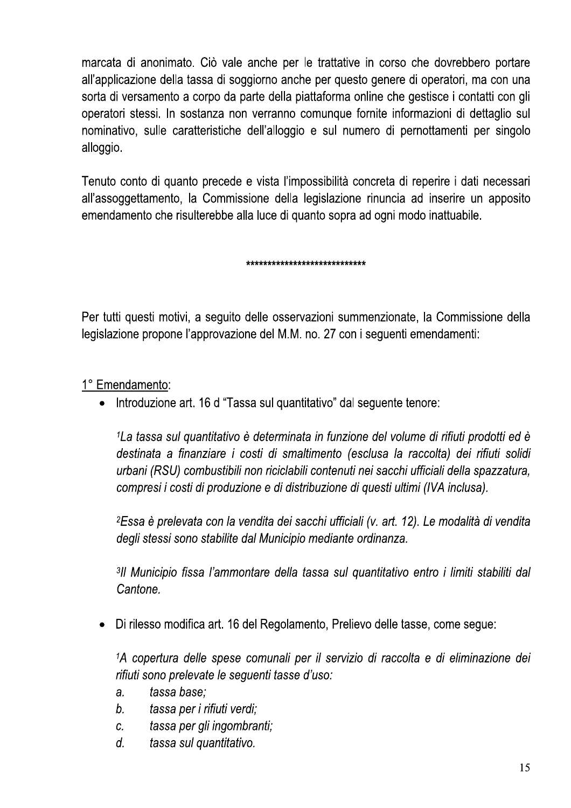marcata di anonimato. Ciò vale anche per le trattative in corso che dovrebbero portare all'applicazione della tassa di soggiorno anche per questo genere di operatori, ma con una sorta di versamento a corpo da parte della piattaforma online che gestisce i contatti con gli operatori stessi. In sostanza non verranno comunque fornite informazioni di dettaglio sul nominativo, sulle caratteristiche dell'alloggio e sul numero di pernottamenti per singolo alloggio.

Tenuto conto di quanto precede e vista l'impossibilità concreta di reperire i dati necessari all'assoggettamento, la Commissione della legislazione rinuncia ad inserire un apposito emendamento che risulterebbe alla luce di quanto sopra ad ogni modo inattuabile.

\*\*\*\*\*\*\*\*\*\*\*\*\*\*\*\*\*\*\*\*\*\*\*\*\*\*\*\*

Per tutti questi motivi, a seguito delle osservazioni summenzionate, la Commissione della legislazione propone l'approvazione del M.M. no. 27 con i seguenti emendamenti:

1° Emendamento:

• Introduzione art. 16 d "Tassa sul quantitativo" dal seguente tenore:

<sup>1</sup> La tassa sul quantitativo è determinata in funzione del volume di rifiuti prodotti ed è destinata a finanziare i costi di smaltimento (esclusa la raccolta) dei rifiuti solidi urbani (RSU) combustibili non riciclabili contenuti nei sacchi ufficiali della spazzatura. compresi i costi di produzione e di distribuzione di questi ultimi (IVA inclusa).

<sup>2</sup>Essa è prelevata con la vendita dei sacchi ufficiali (v. art. 12). Le modalità di vendita degli stessi sono stabilite dal Municipio mediante ordinanza.

3Il Municipio fissa l'ammontare della tassa sul quantitativo entro i limiti stabiliti dal Cantone.

Di rilesso modifica art. 16 del Regolamento, Prelievo delle tasse, come segue:

1A copertura delle spese comunali per il servizio di raccolta e di eliminazione dei rifiuti sono prelevate le seguenti tasse d'uso:

- tassa base:  $\overline{a}$ .
- $b<sub>1</sub>$ tassa per i rifiuti verdi;
- C. tassa per gli ingombranti;
- $d_{\cdot}$ tassa sul quantitativo.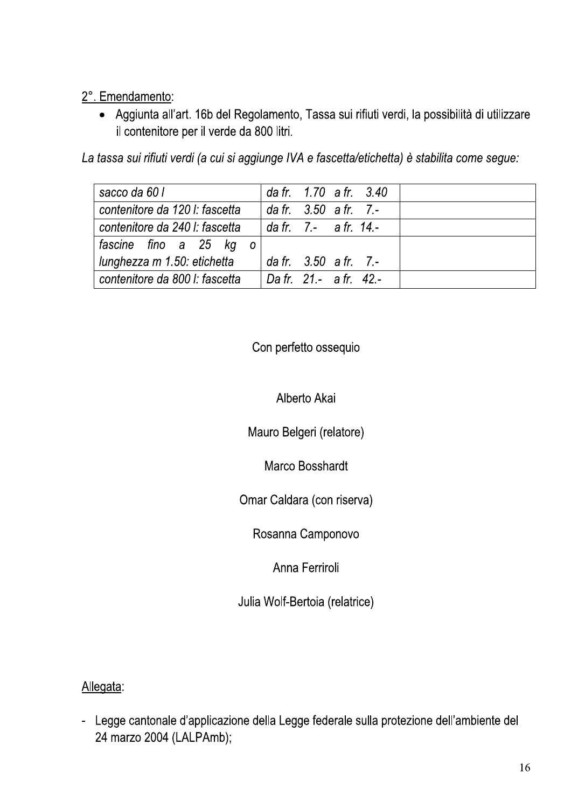# 2°. Emendamento:

· Aggiunta all'art. 16b del Regolamento, Tassa sui rifiuti verdi, la possibilità di utilizzare il contenitore per il verde da 800 litri.

La tassa sui rifiuti verdi (a cui si aggiunge IVA e fascetta/etichetta) è stabilita come segue:

| sacco da 60 l                  | da fr. 1.70 a fr. 3.40              |  |  |
|--------------------------------|-------------------------------------|--|--|
| contenitore da 120 l: fascetta | da fr. $3.50$ a fr. 7.-             |  |  |
| contenitore da 240 l: fascetta | $\frac{1}{2}$ da fr. 7.- a fr. 14.- |  |  |
| fascine fino a 25 kg o         |                                     |  |  |
| I lunghezza m 1.50: etichetta  | da fr. $3.50$ a fr. 7.-             |  |  |
| contenitore da 800 l: fascetta | $1$ Da fr 21 - a fr 42 -            |  |  |

# Con perfetto ossequio

# Alberto Akai

Mauro Belgeri (relatore)

Marco Bosshardt

Omar Caldara (con riserva)

Rosanna Camponovo

Anna Ferriroli

Julia Wolf-Bertoia (relatrice)

Allegata:

- Legge cantonale d'applicazione della Legge federale sulla protezione dell'ambiente del 24 marzo 2004 (LALPAmb);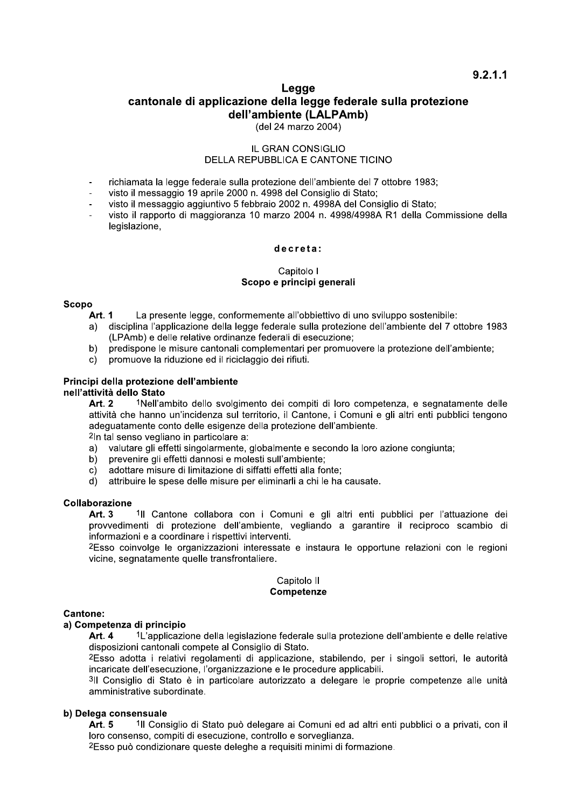# Legge cantonale di applicazione della legge federale sulla protezione dell'ambiente (LALPAmb)

(del 24 marzo 2004)

# **IL GRAN CONSIGLIO** DELLA REPUBBLICA E CANTONE TICINO

- richiamata la legge federale sulla protezione dell'ambiente del 7 ottobre 1983;
- visto il messaggio 19 aprile 2000 n. 4998 del Consiglio di Stato;
- visto il messaggio aggiuntivo 5 febbraio 2002 n. 4998A del Consiglio di Stato;  $\overline{a}$
- visto il rapporto di maggioranza 10 marzo 2004 n. 4998/4998A R1 della Commissione della legislazione,

## decreta:

# Capitolo I Scopo e principi generali

# **Scopo**

- La presente legge, conformemente all'obbiettivo di uno sviluppo sostenibile: **Art. 1**
- disciplina l'applicazione della legge federale sulla protezione dell'ambiente del 7 ottobre 1983  $a)$ (LPAmb) e delle relative ordinanze federali di esecuzione;
- $b)$ predispone le misure cantonali complementari per promuovere la protezione dell'ambiente;
- $\mathbf{C}$ promuove la riduzione ed il riciclaggio dei rifiuti.

# Principi della protezione dell'ambiente

## nell'attività dello Stato

1Nell'ambito dello svolgimento dei compiti di loro competenza, e segnatamente delle  $Art 2$ attività che hanno un'incidenza sul territorio, il Cantone, i Comuni e gli altri enti pubblici tengono adequatamente conto delle esigenze della protezione dell'ambiente.

<sup>2</sup>In tal senso vegliano in particolare a:

- valutare gli effetti singolarmente, globalmente e secondo la loro azione congiunta;  $a)$
- prevenire gli effetti dannosi e molesti sull'ambiente;  $b)$
- adottare misure di limitazione di siffatti effetti alla fonte;  $\mathbf{C}$
- $\overline{d}$ attribuire le spese delle misure per eliminarli a chi le ha causate.

## Collaborazione

Art. 3 <sup>1</sup>Il Cantone collabora con i Comuni e gli altri enti pubblici per l'attuazione dei provvedimenti di protezione dell'ambiente, vegliando a garantire il reciproco scambio di informazioni e a coordinare i rispettivi interventi.

2Esso coinvolge le organizzazioni interessate e instaura le opportune relazioni con le regioni vicine, segnatamente quelle transfrontaliere.

#### Capitolo II Competenze

# **Cantone:**

# a) Competenza di principio

1L'applicazione della legislazione federale sulla protezione dell'ambiente e delle relative Art. 4 disposizioni cantonali compete al Consiglio di Stato.

2Esso adotta i relativi regolamenti di applicazione, stabilendo, per i singoli settori, le autorità incaricate dell'esecuzione, l'organizzazione e le procedure applicabili.

3Il Consiglio di Stato è in particolare autorizzato a delegare le proprie competenze alle unità amministrative subordinate.

# b) Delega consensuale

**Art. 5** <sup>1</sup>Il Consiglio di Stato può delegare ai Comuni ed ad altri enti pubblici o a privati, con il loro consenso, compiti di esecuzione, controllo e sorveglianza.

2Esso può condizionare queste deleghe a requisiti minimi di formazione.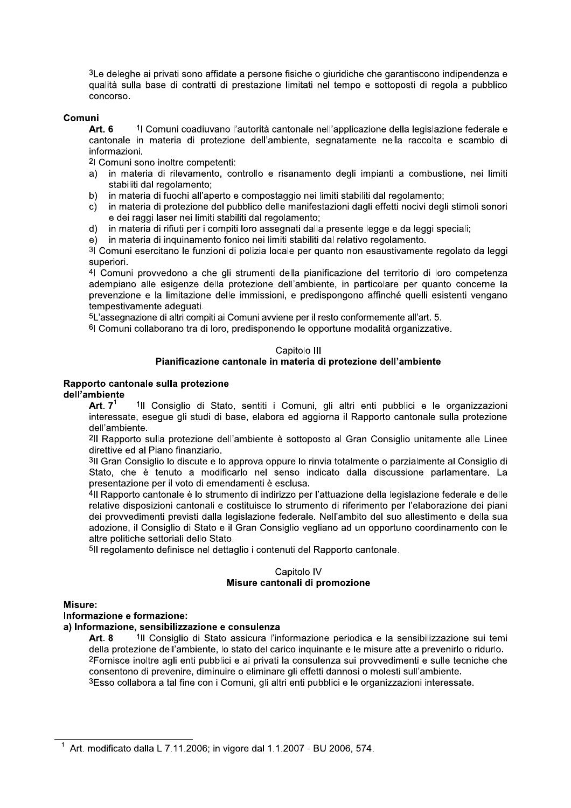${}^3$ Le deleghe ai privati sono affidate a persone fisiche o giuridiche che garantiscono indipendenza e qualita sulla base di contratti di prestazione limitati nel tempo e sottoposti di regola a pubblico concorso.

## Comuni

<sup>3</sup>Le deleghe ai privati sono affidate a persone fisiche o giuridiche che garantiscono indiperentiale di contorso.<br> **Comuni**<br> **Art.6** <sup>1</sup> I Comuni coadiuvano l'autorità cantonale nell'applicazione della legislazione teamho rederale e cantonale in materia di protezione dell'ambiente, segnatamente nella raccolta e scambio di informazioni.

4 Comuni sono inoltre competenti:

- a) in materia di rilevamento, controllo e risanamento degli impianti a combustione, nel limiti stabiliti dal regolamento;
- b) in materia di fuochi all'aperto e compostaggio nei limiti stabiliti dal regolamento;<br>c) in materia di protezione del pubblico delle manifestazioni dagli effetti nocivi deg
- c) In materia di protezione dei pubblico delle manifestazioni dagli effetti nocivi degli stimoli sonori e del raggi laser nel limiti stabiliti dal regolamento;
- $\alpha$ ) In materia di rifiuti per i compiti loro assegnati dalla presente legge e da leggi speciali;
- $\Theta$ ) In materia di inquinamento fonico nei limiti stabiliti dai relativo regolamento.

اد Comuni esercitano le funzioni di polizia locale per quanto non esaustivamente regolato da leggi superiori.

<sup>4</sup>l Comuni provvedono a che gli strumenti della pianificazione del territorio di loro competenza adempiano alle esigenze della protezione dell'ambiente, in particolare per quanto concerne la prevenzione e la limitazione delle immissioni, e predispongono affinche quelli esistenti vengano tempestivamente adeguati.<br>E

5L'assegnazione di altri compiti ai Comuni avviene per il resto conformemente all'art. 5.

ʰl Comuni collaborano tra di loro, predisponendo le opportune modalità organizzative.

# Capitolo III

# Pianificazione cantonale in materia di protezione dell'ambiente<br>Rapporto cantonale sulla protezione

Rapporto cantonale sulla protezione<br>dell'ambiente<br>**Art. 7<sup>1</sup> <sup>1</sup>Il Consiglio di Stato, sentiti i Comuni, gli altri enti pubblici e le organizzazioni** interessate, esegue gli studi di base, elabora ed aggiorna il Rapporto cantonale sulla protezione

dell'ambiente.<br><sup>2</sup>Il Rapporto sulla protezione dell'ambiente è sottoposto al Gran Consiglio unitamente alle Linee ttive ed al Piano finanziario.<br>.

<sup>3</sup>Il Gran Consiglio lo discute e lo approva oppure lo rinvia totalmente o parzialmente al Consiglio di Stato, che e tenuto a modificario nel senso indicato dalla discussione parlamentare. La -- - - 
 --- s-

Primarificazione cantonale in materia di protezione dell'ambiente<br>
dell'ambiente<br>
Art. 7<sup>†</sup> 1ll Consiglio di Stato, sentiti i Comuni, gli altri enti pubblici e le organizzazioni<br>
interessate, esegue gli studi di base, elab <sup>4</sup>Il Rapporto cantonale è lo strumento di indirizzo per l'attuazione della legislazione federale e delle relative disposizioni cantonali e costituisce lo strumento di riferimento per l'elaborazione dei piani del provvedimenti previsti dalla legislazione federale. Nell'ambito del suo allestimento e della sua adozione, il Consiglio di Stato e il Gran Consiglio vegliano ad un opportuno coordinamento con le altre politiche settoriali dello Stato.<br>E

∍ll regolamento definisce nel dettaglio i contenuti del Rapporto cantonale.

# Capitolo IV Visure cantonali di promozione<br>Misure:

<sup>5</sup>|| regolamento definisce nel dettaglio i contenuti del Rapporto cantonale.<br>
Capitolo IV<br> **Misure:**<br> **Misure:**<br> **Misure:**<br> **Misure:**<br> **Misure:**<br> **Misure:**<br> **Misure:**<br> **Misure:**<br> **Misure:**<br> **Misure:**<br> **Misure:**<br> **Misure:** e le misure atte a prevenirio o ridurio.  $\epsilon$ Fornisce inoltre agli enti pubblici e ai privati la consulenza sui provvedimenti e sulle tecniche che consentono di prevenire, diminuire o eliminare gli effetti dannosi o molesti sull'ambiente.  $^3$ Esso collabora a tal fine con i Comuni, gli altri enti pubblici e le organizzazioni interessate.

<sup>&</sup>lt;sup>1</sup> Art. modificato dalla L 7.11.2006; in vigore dal 1.1.2007 - BU 2006, 574.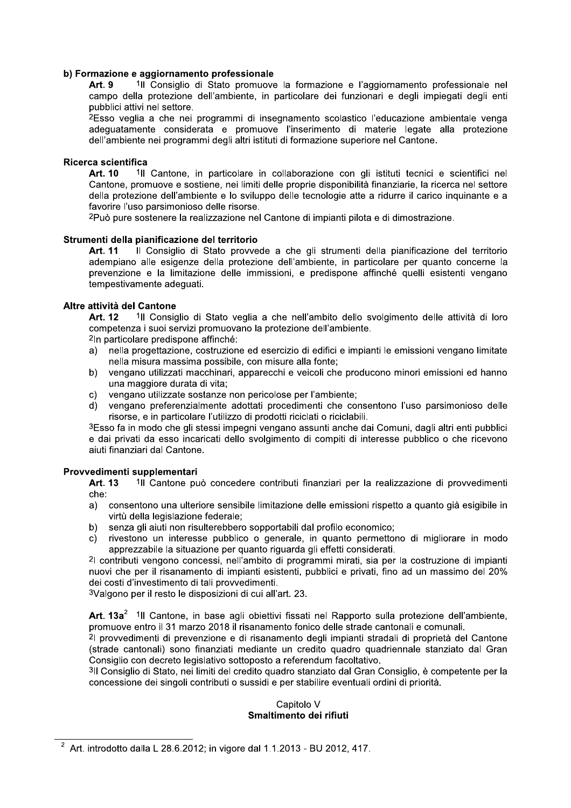# b) Formazione e aggiornamento professionale

Art. 9 <sup>1</sup>Il Consiglio di Stato promuove la formazione e l'aggiornamento professionale nel<br>campo della protezione dell'ambiente, in particolare dei funzionari e degli impiegati degli enti

# $Ricerca$  scientifica

**b) Formazione e aggiornamento professionale<br>
Art. 9**  $\blacksquare$  **Consiglio di Stato promuove la formazione e l'aggiornamento professionale relation della protezione dell'ambiente, in particolare dei funzionari e degli impiegat** Art. 10 <sup>1</sup>Il Cantone, in particolare in collaborazione con gli istituti tecnici e scientifici nel<br>Cantone, promuove e sostiene, nei limiti delle proprie disponibilità finanziarie, la ricerca nel settore publici attivi el settore.<br>
2Eso veglia a che nei programmi di insegnamento scolastico l'educazione ambientale venga<br>
adeguatamente considerata e promuove l'inserimento di materie legate alla protezione<br>
dell'ambiente nei

# Strumenti della pianificazione del territorio

Art. 11 Il Consiglio di Stato provvede a che gli strumenti della pianificazione del territorio adempiano alle esigenze della protezione dell'ambiente, in particolare per quanto concerne la prevenzione e la limitazione delle immissioni, e predispone affinché quelli esistenti vengano tempestivamente adeguati. Strumenti della pianificazione del territorio<br>
Art. 11 | Il Consiglio di Stato provvede a che gli strumenti della pianificazione del territorio<br>
adempiano alle esigenze della protezione dell'ambiente, in particolare per qu

#### $\mathbb{R}$ Altre attivita del Cantone

1Il Consiglio di Stato veglia a che nell'ambito dello svolgimento delle attività di loro Art. 12 <sup>1</sup>Il Consiglio di Stato veglia a che nell'ambito dello si competenza i suoi servizi promuovano la protezione dell'ambiente.

- 
- 
- 
- 

# Provvedimenti supplementari

Art. 13 <sup>1</sup>II Cantone può concedere contributi finanziari per la realizzazione di provvedimenti che:<br>a)

- consentono una ulteriore sensibile limitazione delle emissioni rispetto a quanto già esigibile in virtù della legislazione federale;
- b) senza gli aiuti non risulterebbero sopportabili dal profilo economico;<br>c) rivestono un interesse pubblico o generale, in quanto permetto
- rivestono un interesse pubblico o generale, in quanto permettono di migliorare in modo

apprezzabile la situazione per quanto riguarda gli effetti considerati.<br><sup>2</sup>l contributi vengono concessi, nell'ambito di programmi mirati, sia per la costruzione di impianti **Provvedimential supplementari**<br> **Art. 13**  $^{\circ}$  III Cantone può concedere contributi finanziari per la realizzazione di provvedimenti<br>
al consentono una ulteriore sensibile limitazione delle emissioni rispetto a quanto b) senza gli aiuti non risulterebbero sopportabili dal profilo economico;<br>
c) rivestono un interesse pubblico o generale, in quanto permettono di migliorare in modo<br>
apprezzabile la situazione per quanto riguarda gli effet

Art. 13a<sup>2</sup> <sup>1</sup>Il Cantone, in base agli obiettivi fissati nel Rapporto sulla protezione dell'ambiente, promuove entro il 31 marzo 2018 il risanamento fonico delle strade cantonali e comunali.

concessione dei singoli contributi o sussidi e per stabilire eventuali ordini di priorità.

# Capitolo V Smaltimento del rifiuti

 $r^2$  Art. introdotto dalla L 28.6.2012; in vigore dal 1.1.2013 - BU 2012, 417.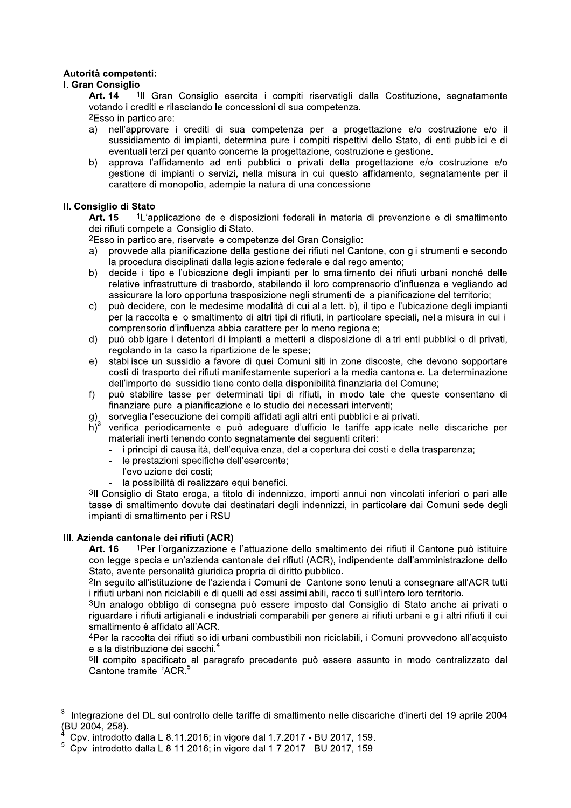# Autorità competenti:

# I. Gran Consiglio

Art. 14 <sup>1</sup>Il Gran Consiglio esercita i compiti riservatigli dalla Costituzione, segnatamente votando i crediti e rilasciando le concessioni di sua competenza.

2Esso in particolare:

- nell'approvare i crediti di sua competenza per la progettazione e/o costruzione e/o il a) sussidiamento di impianti, determina pure i compiti rispettivi dello Stato, di enti pubblici e di eventuali terzi per quanto concerne la progettazione, costruzione e gestione.
- $b)$ approva l'affidamento ad enti pubblici o privati della progettazione e/o costruzione e/o gestione di impianti o servizi, nella misura in cui questo affidamento, segnatamente per il carattere di monopolio, adempie la natura di una concessione.

# II. Consiglio di Stato

Art. 15 1L'applicazione delle disposizioni federali in materia di prevenzione e di smaltimento dei rifiuti compete al Consiglio di Stato.

<sup>2</sup>Esso in particolare, riservate le competenze del Gran Consiglio:

- provvede alla pianificazione della gestione dei rifiuti nel Cantone, con gli strumenti e secondo  $\mathsf{a}$ la procedura disciplinati dalla legislazione federale e dal regolamento;
- $b)$ decide il tipo e l'ubicazione degli impianti per lo smaltimento dei rifiuti urbani nonché delle relative infrastrutture di trasbordo, stabilendo il loro comprensorio d'influenza e vegliando ad assicurare la loro opportuna trasposizione negli strumenti della pianificazione del territorio;
- può decidere, con le medesime modalità di cui alla lett. b), il tipo e l'ubicazione degli impianti  $\mathsf{C}$ per la raccolta e lo smaltimento di altri tipi di rifiuti, in particolare speciali, nella misura in cui il comprensorio d'influenza abbia carattere per lo meno regionale;
- $\mathsf{d}$ può obbligare i detentori di impianti a metterli a disposizione di altri enti pubblici o di privati, regolando in tal caso la ripartizione delle spese;
- stabilisce un sussidio a favore di quei Comuni siti in zone discoste, che devono sopportare  $e)$ costi di trasporto dei rifiuti manifestamente superiori alla media cantonale. La determinazione dell'importo del sussidio tiene conto della disponibilità finanziaria del Comune;
- può stabilire tasse per determinati tipi di rifiuti, in modo tale che queste consentano di  $f$ finanziare pure la pianificazione e lo studio dei necessari interventi;
- sorveglia l'esecuzione dei compiti affidati agli altri enti pubblici e ai privati. g)
- $\overline{h}$ <sup>3</sup> verifica periodicamente e può adequare d'ufficio le tariffe applicate nelle discariche per materiali inerti tenendo conto segnatamente dei seguenti criteri:
	- i principi di causalità, dell'equivalenza, della copertura dei costi e della trasparenza:
	- le prestazioni specifiche dell'esercente;
	- l'evoluzione dei costi:
	- la possibilità di realizzare equi benefici.

3Il Consiglio di Stato eroga, a titolo di indennizzo, importi annui non vincolati inferiori o pari alle tasse di smaltimento dovute dai destinatari degli indennizzi, in particolare dai Comuni sede degli impianti di smaltimento per i RSU.

# III. Azienda cantonale dei rifiuti (ACR)

1Per l'organizzazione e l'attuazione dello smaltimento dei rifiuti il Cantone può istituire Art. 16 con legge speciale un'azienda cantonale dei rifiuti (ACR), indipendente dall'amministrazione dello Stato, avente personalità giuridica propria di diritto pubblico.

<sup>2</sup>In sequito all'istituzione dell'azienda i Comuni del Cantone sono tenuti a consegnare all'ACR tutti i rifiuti urbani non riciclabili e di quelli ad essi assimilabili, raccolti sull'intero loro territorio.

3Un analogo obbligo di consegna può essere imposto dal Consiglio di Stato anche ai privati o riguardare i rifiuti artigianali e industriali comparabili per genere ai rifiuti urbani e gli altri rifiuti il cui smaltimento è affidato all'ACR.

4Per la raccolta dei rifiuti solidi urbani combustibili non riciclabili, i Comuni provvedono all'acquisto e alla distribuzione dei sacchi.<sup>4</sup>

<sup>5</sup>Il compito specificato al paragrafo precedente può essere assunto in modo centralizzato dal Cantone tramite l'ACR.<sup>5</sup>

Integrazione del DL sul controllo delle tariffe di smaltimento nelle discariche d'inerti del 19 aprile 2004 (BU 2004, 258).

Cpv. introdotto dalla L 8.11.2016; in vigore dal 1.7.2017 - BU 2017, 159.

Cpv. introdotto dalla L 8.11.2016; in vigore dal 1.7.2017 - BU 2017, 159.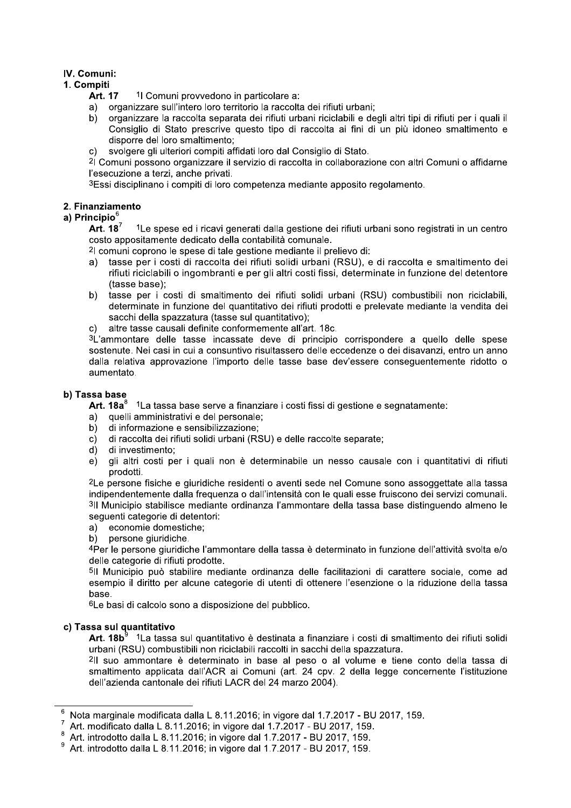# IV. Comuni:

# 1. Compiti

- **Art. 17** <sup>1</sup>l Comuni provvedono in particolare a:
- organizzare sull'intero loro territorio la raccolta dei rifiuti urbani:
- organizzare la raccolta separata dei rifiuti urbani riciclabili e degli altri tipi di rifiuti per i quali il b) Consiglio di Stato prescrive questo tipo di raccolta ai fini di un più idoneo smaltimento e disporre del loro smaltimento:
- $c)$ svolgere gli ulteriori compiti affidati loro dal Consiglio di Stato.

<sup>2</sup>l Comuni possono organizzare il servizio di raccolta in collaborazione con altri Comuni o affidarne l'esecuzione a terzi, anche privati.

3Essi disciplinano i compiti di loro competenza mediante apposito regolamento.

# 2. Finanziamento

# a) Principio<sup>6</sup>

Art.  $18^7$ <sup>1</sup>Le spese ed i ricavi generati dalla gestione dei rifiuti urbani sono registrati in un centro costo appositamente dedicato della contabilità comunale.

<sup>2</sup>l comuni coprono le spese di tale gestione mediante il prelievo di:

- tasse per i costi di raccolta dei rifiuti solidi urbani (RSU), e di raccolta e smaltimento dei  $a)$ rifiuti riciclabili o ingombranti e per gli altri costi fissi, determinate in funzione del detentore (tasse base):
- $b)$ tasse per i costi di smaltimento dei rifiuti solidi urbani (RSU) combustibili non riciclabili, determinate in funzione del quantitativo dei rifiuti prodotti e prelevate mediante la vendita dei sacchi della spazzatura (tasse sul quantitativo);
- c) altre tasse causali definite conformemente all'art. 18c.

3L'ammontare delle tasse incassate deve di principio corrispondere a quello delle spese sostenute. Nei casi in cui a consuntivo risultassero delle eccedenze o dei disavanzi, entro un anno dalla relativa approvazione l'importo delle tasse base dev'essere consequentemente ridotto o aumentato.

# b) Tassa base

Art.  $18a^8$ 1La tassa base serve a finanziare i costi fissi di gestione e segnatamente:

- quelli amministrativi e del personale:
- $b)$ di informazione e sensibilizzazione;
- $c$ ) di raccolta dei rifiuti solidi urbani (RSU) e delle raccolte separate:
- $d)$ di investimento:
- gli altri costi per i quali non è determinabile un nesso causale con i quantitativi di rifiuti  $e)$ prodotti.

<sup>2</sup>Le persone fisiche e giuridiche residenti o aventi sede nel Comune sono assoggettate alla tassa indipendentemente dalla frequenza o dall'intensità con le quali esse fruiscono dei servizi comunali. 3Il Municipio stabilisce mediante ordinanza l'ammontare della tassa base distinguendo almeno le seguenti categorie di detentori:

a) economie domestiche;

persone giuridiche.  $b)$ 

4Per le persone giuridiche l'ammontare della tassa è determinato in funzione dell'attività svolta e/o delle categorie di rifiuti prodotte.

5Il Municipio può stabilire mediante ordinanza delle facilitazioni di carattere sociale, come ad esempio il diritto per alcune categorie di utenti di ottenere l'esenzione o la riduzione della tassa base.

<sup>6</sup>Le basi di calcolo sono a disposizione del pubblico.

# c) Tassa sul quantitativo

**Art. 18b** $^9$  1La tassa sul quantitativo è destinata a finanziare i costi di smaltimento dei rifiuti solidi urbani (RSU) combustibili non riciclabili raccolti in sacchi della spazzatura.

<sup>2</sup>Il suo ammontare è determinato in base al peso o al volume e tiene conto della tassa di smaltimento applicata dall'ACR ai Comuni (art. 24 cpv. 2 della legge concernente l'istituzione dell'azienda cantonale dei rifiuti LACR del 24 marzo 2004).

Nota marginale modificata dalla L 8.11.2016; in vigore dal 1.7.2017 - BU 2017, 159.

Art. modificato dalla L 8.11.2016; in vigore dal 1.7.2017 - BU 2017, 159. 8

Art. introdotto dalla L 8.11.2016; in vigore dal 1.7.2017 - BU 2017, 159.

Art. introdotto dalla L 8.11.2016; in vigore dal 1.7.2017 - BU 2017, 159.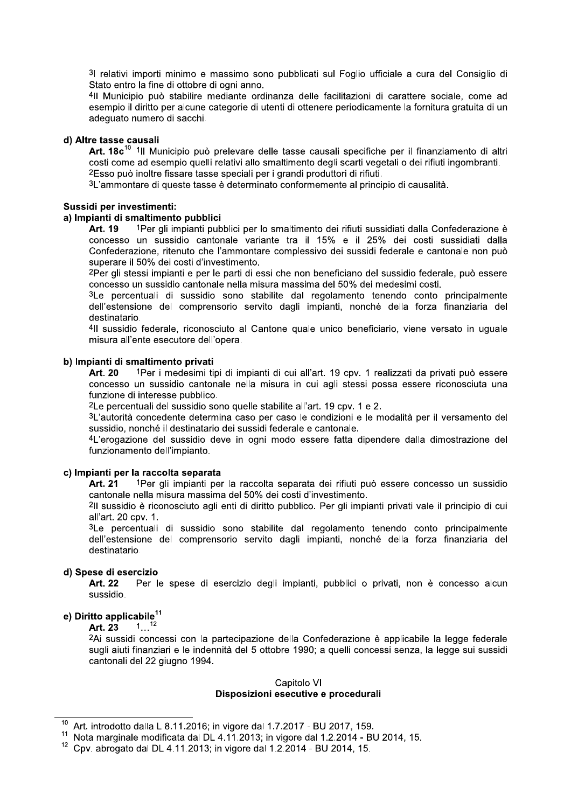31 relativi importi minimo e massimo sono pubblicati sul Foglio ufficiale a cura del Consiglio di Stato entro la fine di ottobre di ogni anno.

4Il Municipio può stabilire mediante ordinanza delle facilitazioni di carattere sociale, come ad esempio il diritto per alcune categorie di utenti di ottenere periodicamente la fornitura gratuita di un adeguato numero di sacchi.

#### d) Altre tasse causali

Art. 18c<sup>10</sup> <sup>1</sup>Il Municipio può prelevare delle tasse causali specifiche per il finanziamento di altri costi come ad esempio quelli relativi allo smaltimento degli scarti vegetali o dei rifiuti ingombranti. <sup>2</sup>Esso può inoltre fissare tasse speciali per i grandi produttori di rifiuti.

<sup>3</sup>L'ammontare di queste tasse è determinato conformemente al principio di causalità.

#### Sussidi per investimenti:

#### a) Impianti di smaltimento pubblici

1Per gli impianti pubblici per lo smaltimento dei rifiuti sussidiati dalla Confederazione è Art. 19 concesso un sussidio cantonale variante tra il 15% e il 25% dei costi sussidiati dalla Confederazione, ritenuto che l'ammontare complessivo dei sussidi federale e cantonale non può superare il 50% dei costi d'investimento.

2Per gli stessi impianti e per le parti di essi che non beneficiano del sussidio federale, può essere concesso un sussidio cantonale nella misura massima del 50% dei medesimi costi.

3Le percentuali di sussidio sono stabilite dal regolamento tenendo conto principalmente dell'estensione del comprensorio servito dagli impianti, nonché della forza finanziaria del destinatario.

4Il sussidio federale, riconosciuto al Cantone quale unico beneficiario, viene versato in uguale misura all'ente esecutore dell'opera.

#### b) Impianti di smaltimento privati

**Art. 20** 1Per i medesimi tipi di impianti di cui all'art. 19 cpv. 1 realizzati da privati può essere concesso un sussidio cantonale nella misura in cui agli stessi possa essere riconosciuta una funzione di interesse pubblico.

<sup>2</sup>Le percentuali del sussidio sono quelle stabilite all'art. 19 cpv. 1 e 2.

3L'autorità concedente determina caso per caso le condizioni e le modalità per il versamento del sussidio, nonché il destinatario dei sussidi federale e cantonale.

4L'erogazione del sussidio deve in ogni modo essere fatta dipendere dalla dimostrazione del funzionamento dell'impianto.

#### c) Impianti per la raccolta separata

1Per gli impianti per la raccolta separata dei rifiuti può essere concesso un sussidio Art. 21 cantonale nella misura massima del 50% dei costi d'investimento.

<sup>2</sup>Il sussidio è riconosciuto agli enti di diritto pubblico. Per gli impianti privati vale il principio di cui all'art. 20 cpv. 1.

3Le percentuali di sussidio sono stabilite dal regolamento tenendo conto principalmente dell'estensione del comprensorio servito dagli impianti, nonché della forza finanziaria del destinatario.

## d) Spese di esercizio

Art. 22 Per le spese di esercizio degli impianti, pubblici o privati, non è concesso alcun sussidio.

# e) Diritto applicabile<sup>11</sup>

 $1...^{12}$ Art. 23

<sup>2</sup>Ai sussidi concessi con la partecipazione della Confederazione è applicabile la legge federale sugli aiuti finanziari e le indennità del 5 ottobre 1990; a quelli concessi senza, la legge sui sussidi cantonali del 22 giugno 1994.

# Capitolo VI

# Disposizioni esecutive e procedurali

 $10<sup>10</sup>$ Art. introdotto dalla L 8.11.2016; in vigore dal 1.7.2017 - BU 2017, 159.

 $11$  Nota marginale modificata dal DL 4.11.2013; in vigore dal 1.2.2014 - BU 2014, 15.

<sup>&</sup>lt;sup>12</sup> Cpv. abrogato dal DL 4.11.2013; in vigore dal 1.2.2014 - BU 2014, 15.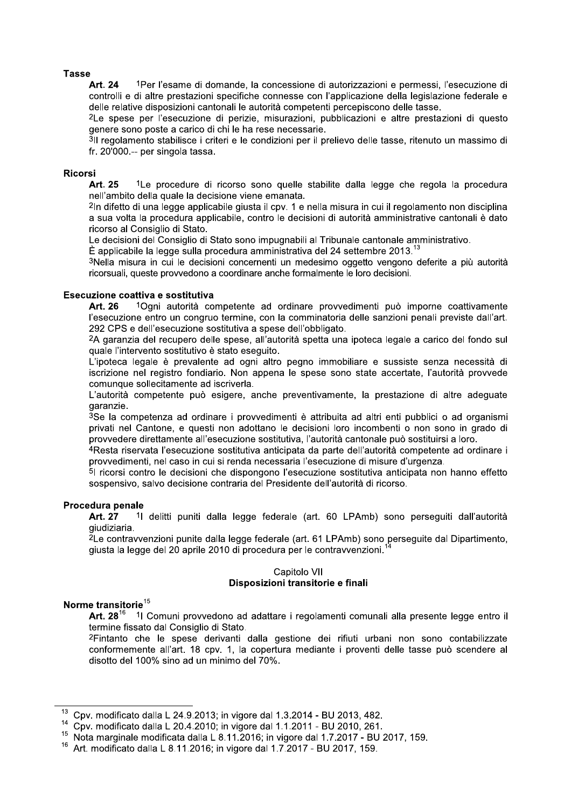## **Tasse**

1Per l'esame di domande, la concessione di autorizzazioni e permessi, l'esecuzione di Art. 24 controlli e di altre prestazioni specifiche connesse con l'applicazione della legislazione federale e delle relative disposizioni cantonali le autorità competenti percepiscono delle tasse.

<sup>2</sup>Le spese per l'esecuzione di perizie, misurazioni, pubblicazioni e altre prestazioni di questo genere sono poste a carico di chi le ha rese necessarie.

3Il regolamento stabilisce i criteri e le condizioni per il prelievo delle tasse, ritenuto un massimo di fr. 20'000 .-- per singola tassa.

#### **Ricorsi**

Art. 25 <sup>1</sup>Le procedure di ricorso sono quelle stabilite dalla legge che regola la procedura nell'ambito della quale la decisione viene emanata.

<sup>2</sup>In difetto di una legge applicabile giusta il cpv. 1 e nella misura in cui il regolamento non disciplina a sua volta la procedura applicabile, contro le decisioni di autorità amministrative cantonali è dato ricorso al Consiglio di Stato.

Le decisioni del Consiglio di Stato sono impugnabili al Tribunale cantonale amministrativo.

 $\dot{\mathsf{E}}$  applicabile la legge sulla procedura amministrativa del 24 settembre 2013.<sup>13</sup>

3Nella misura in cui le decisioni concernenti un medesimo oggetto vengono deferite a più autorità ricorsuali, queste provvedono a coordinare anche formalmente le loro decisioni.

#### Esecuzione coattiva e sostitutiva

1Ogni autorità competente ad ordinare provvedimenti può imporne coattivamente Art. 26 l'esecuzione entro un congruo termine, con la comminatoria delle sanzioni penali previste dall'art. 292 CPS e dell'esecuzione sostitutiva a spese dell'obbligato.

<sup>2</sup>A garanzia del recupero delle spese, all'autorità spetta una ipoteca legale a carico del fondo sul quale l'intervento sostitutivo è stato eseguito.

L'ipoteca legale è prevalente ad ogni altro pegno immobiliare e sussiste senza necessità di iscrizione nel registro fondiario. Non appena le spese sono state accertate, l'autorità provvede comunque sollecitamente ad iscriverla.

L'autorità competente può esigere, anche preventivamente, la prestazione di altre adequate garanzie.

3Se la competenza ad ordinare i provvedimenti è attribuita ad altri enti pubblici o ad organismi privati nel Cantone, e questi non adottano le decisioni loro incombenti o non sono in grado di provvedere direttamente all'esecuzione sostitutiva. l'autorità cantonale può sostituirsi a loro.

4 Resta riservata l'esecuzione sostitutiva anticipata da parte dell'autorità competente ad ordinare i provvedimenti, nel caso in cui si renda necessaria l'esecuzione di misure d'urgenza.

51 ricorsi contro le decisioni che dispongono l'esecuzione sostitutiva anticipata non hanno effetto sospensivo, salvo decisione contraria del Presidente dell'autorità di ricorso.

#### Procedura penale

Art. 27 1 delitti puniti dalla legge federale (art. 60 LPAmb) sono perseguiti dall'autorità giudiziaria.

<sup>2</sup>Le contravvenzioni punite dalla legge federale (art. 61 LPAmb) sono perseguite dal Dipartimento, giusta la legge del 20 aprile 2010 di procedura per le contravvenzioni.

# Capitolo VII Disposizioni transitorie e finali

# Norme transitorie<sup>15</sup>

Art.  $28^{16}$ 11 Comuni provvedono ad adattare i regolamenti comunali alla presente legge entro il termine fissato dal Consiglio di Stato.

<sup>2</sup>Fintanto che le spese derivanti dalla gestione dei rifiuti urbani non sono contabilizzate conformemente all'art. 18 cpv. 1, la copertura mediante i proventi delle tasse può scendere al disotto del 100% sino ad un minimo del 70%.

Cpv. modificato dalla L 24.9.2013; in vigore dal 1.3.2014 - BU 2013, 482.

<sup>&</sup>lt;sup>14</sup> Cpv. modificato dalla L 20.4.2010; in vigore dal 1.1.2011 - BU 2010, 261.

<sup>&</sup>lt;sup>15</sup> Nota marginale modificata dalla L 8.11.2016; in vigore dal 1.7.2017 - BU 2017, 159.

<sup>&</sup>lt;sup>16</sup> Art. modificato dalla L 8.11.2016; in vigore dal 1.7.2017 - BU 2017, 159.